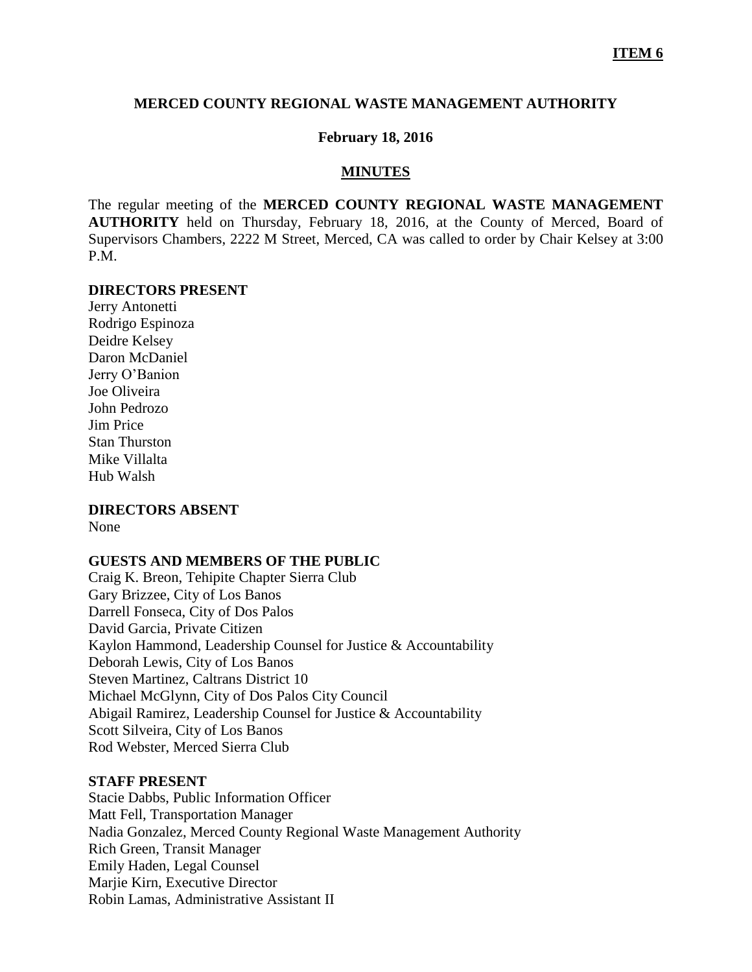#### **MERCED COUNTY REGIONAL WASTE MANAGEMENT AUTHORITY**

### **February 18, 2016**

#### **MINUTES**

The regular meeting of the **MERCED COUNTY REGIONAL WASTE MANAGEMENT AUTHORITY** held on Thursday, February 18, 2016, at the County of Merced, Board of Supervisors Chambers, 2222 M Street, Merced, CA was called to order by Chair Kelsey at 3:00 P.M.

#### **DIRECTORS PRESENT**

Jerry Antonetti Rodrigo Espinoza Deidre Kelsey Daron McDaniel Jerry O'Banion Joe Oliveira John Pedrozo Jim Price Stan Thurston Mike Villalta Hub Walsh

# **DIRECTORS ABSENT**

None

### **GUESTS AND MEMBERS OF THE PUBLIC**

Craig K. Breon, Tehipite Chapter Sierra Club Gary Brizzee, City of Los Banos Darrell Fonseca, City of Dos Palos David Garcia, Private Citizen Kaylon Hammond, Leadership Counsel for Justice & Accountability Deborah Lewis, City of Los Banos Steven Martinez, Caltrans District 10 Michael McGlynn, City of Dos Palos City Council Abigail Ramirez, Leadership Counsel for Justice & Accountability Scott Silveira, City of Los Banos Rod Webster, Merced Sierra Club

#### **STAFF PRESENT**

Stacie Dabbs, Public Information Officer Matt Fell, Transportation Manager Nadia Gonzalez, Merced County Regional Waste Management Authority Rich Green, Transit Manager Emily Haden, Legal Counsel Marjie Kirn, Executive Director Robin Lamas, Administrative Assistant II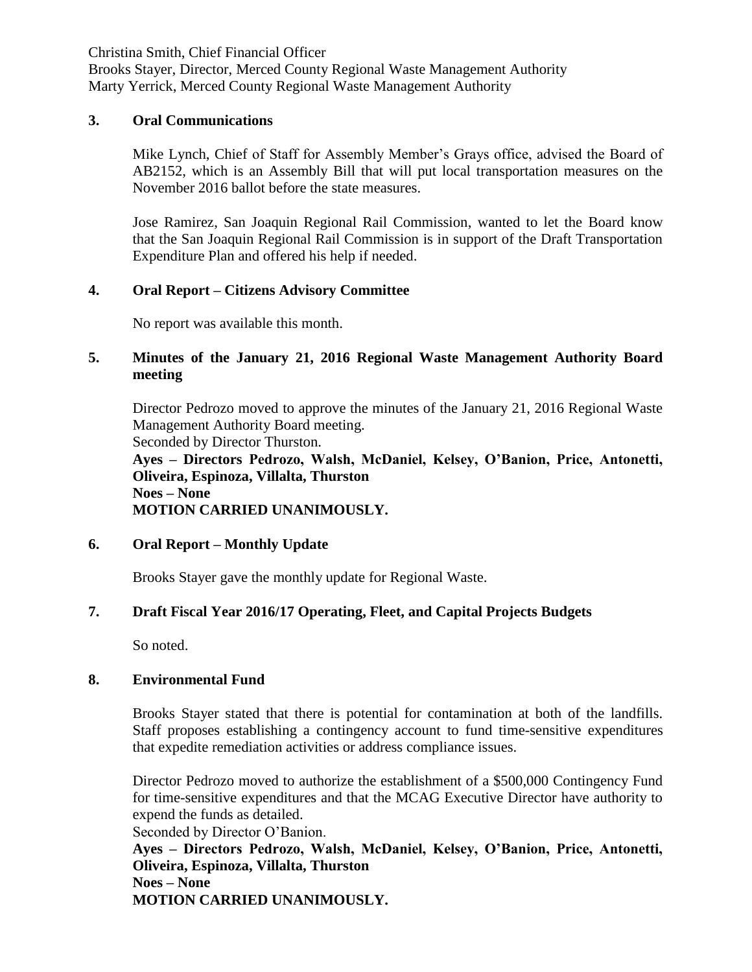Christina Smith, Chief Financial Officer

Brooks Stayer, Director, Merced County Regional Waste Management Authority Marty Yerrick, Merced County Regional Waste Management Authority

## **3. Oral Communications**

Mike Lynch, Chief of Staff for Assembly Member's Grays office, advised the Board of AB2152, which is an Assembly Bill that will put local transportation measures on the November 2016 ballot before the state measures.

Jose Ramirez, San Joaquin Regional Rail Commission, wanted to let the Board know that the San Joaquin Regional Rail Commission is in support of the Draft Transportation Expenditure Plan and offered his help if needed.

## **4. Oral Report – Citizens Advisory Committee**

No report was available this month.

# **5. Minutes of the January 21, 2016 Regional Waste Management Authority Board meeting**

Director Pedrozo moved to approve the minutes of the January 21, 2016 Regional Waste Management Authority Board meeting.

Seconded by Director Thurston. **Ayes – Directors Pedrozo, Walsh, McDaniel, Kelsey, O'Banion, Price, Antonetti, Oliveira, Espinoza, Villalta, Thurston Noes – None**

**MOTION CARRIED UNANIMOUSLY.**

# **6. Oral Report – Monthly Update**

Brooks Stayer gave the monthly update for Regional Waste.

# **7. Draft Fiscal Year 2016/17 Operating, Fleet, and Capital Projects Budgets**

So noted.

### **8. Environmental Fund**

Brooks Stayer stated that there is potential for contamination at both of the landfills. Staff proposes establishing a contingency account to fund time-sensitive expenditures that expedite remediation activities or address compliance issues.

Director Pedrozo moved to authorize the establishment of a \$500,000 Contingency Fund for time-sensitive expenditures and that the MCAG Executive Director have authority to expend the funds as detailed.

Seconded by Director O'Banion.

**Ayes – Directors Pedrozo, Walsh, McDaniel, Kelsey, O'Banion, Price, Antonetti, Oliveira, Espinoza, Villalta, Thurston Noes – None MOTION CARRIED UNANIMOUSLY.**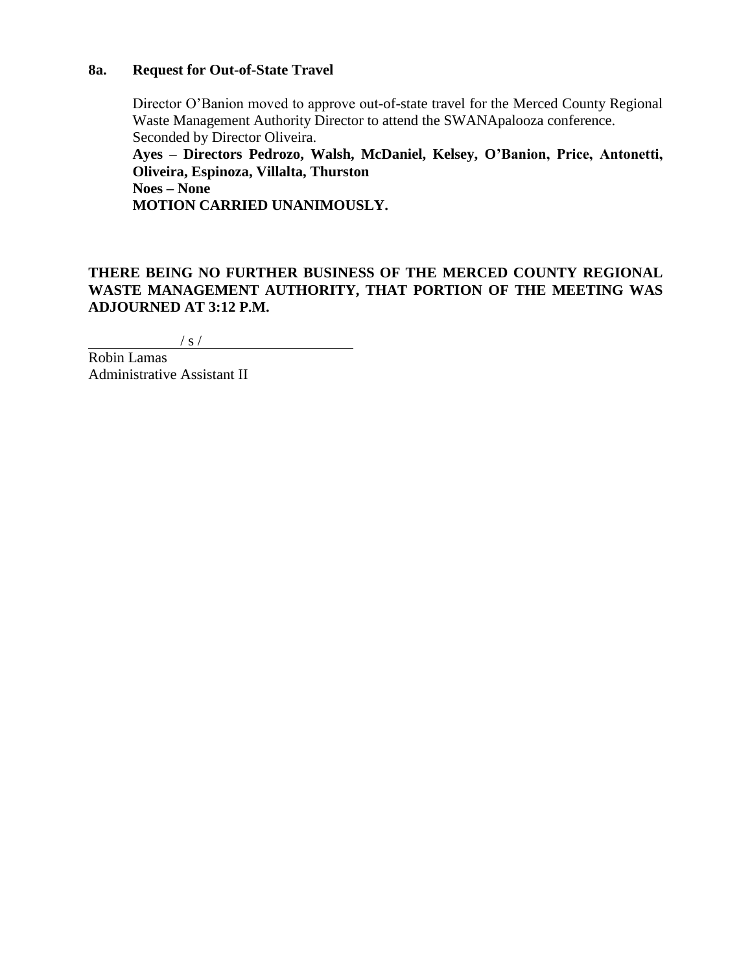### **8a. Request for Out-of-State Travel**

Director O'Banion moved to approve out-of-state travel for the Merced County Regional Waste Management Authority Director to attend the SWANApalooza conference. Seconded by Director Oliveira.

**Ayes – Directors Pedrozo, Walsh, McDaniel, Kelsey, O'Banion, Price, Antonetti, Oliveira, Espinoza, Villalta, Thurston**

**Noes – None**

**MOTION CARRIED UNANIMOUSLY.**

**THERE BEING NO FURTHER BUSINESS OF THE MERCED COUNTY REGIONAL WASTE MANAGEMENT AUTHORITY, THAT PORTION OF THE MEETING WAS ADJOURNED AT 3:12 P.M.**

 $\frac{1}{s}$  / s /

Robin Lamas Administrative Assistant II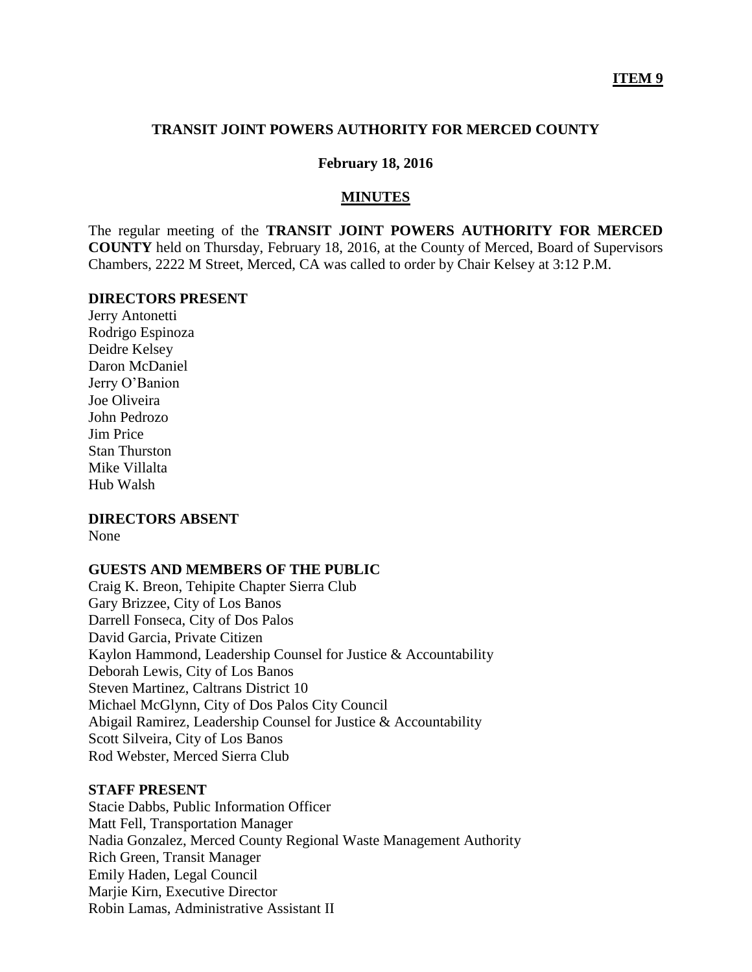### **TRANSIT JOINT POWERS AUTHORITY FOR MERCED COUNTY**

#### **February 18, 2016**

#### **MINUTES**

The regular meeting of the **TRANSIT JOINT POWERS AUTHORITY FOR MERCED COUNTY** held on Thursday, February 18, 2016, at the County of Merced, Board of Supervisors Chambers, 2222 M Street, Merced, CA was called to order by Chair Kelsey at 3:12 P.M.

#### **DIRECTORS PRESENT**

Jerry Antonetti Rodrigo Espinoza Deidre Kelsey Daron McDaniel Jerry O'Banion Joe Oliveira John Pedrozo Jim Price Stan Thurston Mike Villalta Hub Walsh

### **DIRECTORS ABSENT**

None

### **GUESTS AND MEMBERS OF THE PUBLIC**

Craig K. Breon, Tehipite Chapter Sierra Club Gary Brizzee, City of Los Banos Darrell Fonseca, City of Dos Palos David Garcia, Private Citizen Kaylon Hammond, Leadership Counsel for Justice & Accountability Deborah Lewis, City of Los Banos Steven Martinez, Caltrans District 10 Michael McGlynn, City of Dos Palos City Council Abigail Ramirez, Leadership Counsel for Justice & Accountability Scott Silveira, City of Los Banos Rod Webster, Merced Sierra Club

### **STAFF PRESENT**

Stacie Dabbs, Public Information Officer Matt Fell, Transportation Manager Nadia Gonzalez, Merced County Regional Waste Management Authority Rich Green, Transit Manager Emily Haden, Legal Council Marjie Kirn, Executive Director Robin Lamas, Administrative Assistant II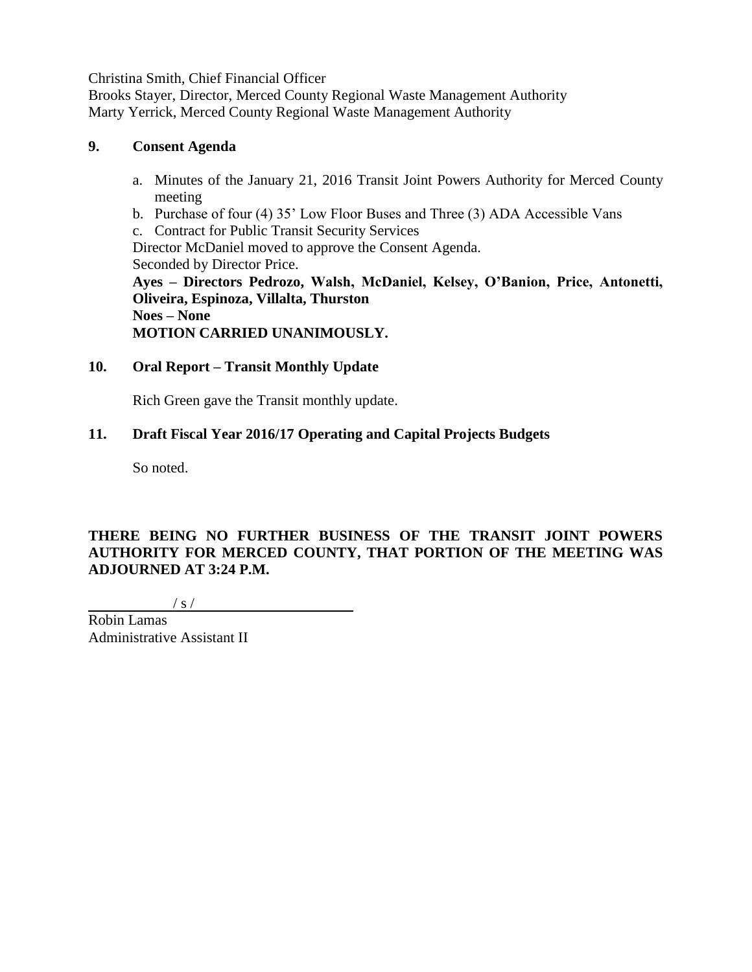Christina Smith, Chief Financial Officer

Brooks Stayer, Director, Merced County Regional Waste Management Authority Marty Yerrick, Merced County Regional Waste Management Authority

# **9. Consent Agenda**

- a. Minutes of the January 21, 2016 Transit Joint Powers Authority for Merced County meeting
- b. Purchase of four (4) 35' Low Floor Buses and Three (3) ADA Accessible Vans
- c. Contract for Public Transit Security Services

Director McDaniel moved to approve the Consent Agenda. Seconded by Director Price.

**Ayes – Directors Pedrozo, Walsh, McDaniel, Kelsey, O'Banion, Price, Antonetti, Oliveira, Espinoza, Villalta, Thurston Noes – None**

**MOTION CARRIED UNANIMOUSLY.**

# **10. Oral Report – Transit Monthly Update**

Rich Green gave the Transit monthly update.

# **11. Draft Fiscal Year 2016/17 Operating and Capital Projects Budgets**

So noted.

# **THERE BEING NO FURTHER BUSINESS OF THE TRANSIT JOINT POWERS AUTHORITY FOR MERCED COUNTY, THAT PORTION OF THE MEETING WAS ADJOURNED AT 3:24 P.M.**

 $\frac{1}{s}$  /

Robin Lamas Administrative Assistant II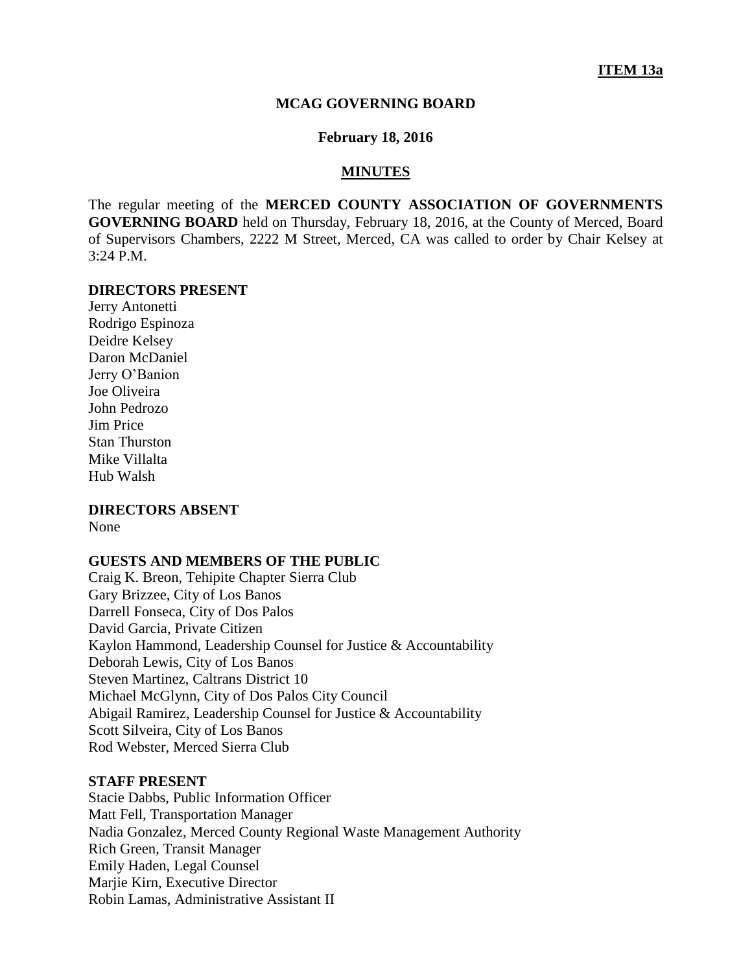#### **MCAG GOVERNING BOARD**

#### **February 18, 2016**

#### **MINUTES**

The regular meeting of the **MERCED COUNTY ASSOCIATION OF GOVERNMENTS GOVERNING BOARD** held on Thursday, February 18, 2016, at the County of Merced, Board of Supervisors Chambers, 2222 M Street, Merced, CA was called to order by Chair Kelsey at 3:24 P.M.

#### **DIRECTORS PRESENT**

Jerry Antonetti Rodrigo Espinoza Deidre Kelsey Daron McDaniel Jerry O'Banion Joe Oliveira John Pedrozo Jim Price Stan Thurston Mike Villalta Hub Walsh

# **DIRECTORS ABSENT**

None

#### **GUESTS AND MEMBERS OF THE PUBLIC**

Craig K. Breon, Tehipite Chapter Sierra Club Gary Brizzee, City of Los Banos Darrell Fonseca, City of Dos Palos David Garcia, Private Citizen Kaylon Hammond, Leadership Counsel for Justice & Accountability Deborah Lewis, City of Los Banos Steven Martinez, Caltrans District 10 Michael McGlynn, City of Dos Palos City Council Abigail Ramirez, Leadership Counsel for Justice & Accountability Scott Silveira, City of Los Banos Rod Webster, Merced Sierra Club

#### **STAFF PRESENT**

Stacie Dabbs, Public Information Officer Matt Fell, Transportation Manager Nadia Gonzalez, Merced County Regional Waste Management Authority Rich Green, Transit Manager Emily Haden, Legal Counsel Marjie Kirn, Executive Director Robin Lamas, Administrative Assistant II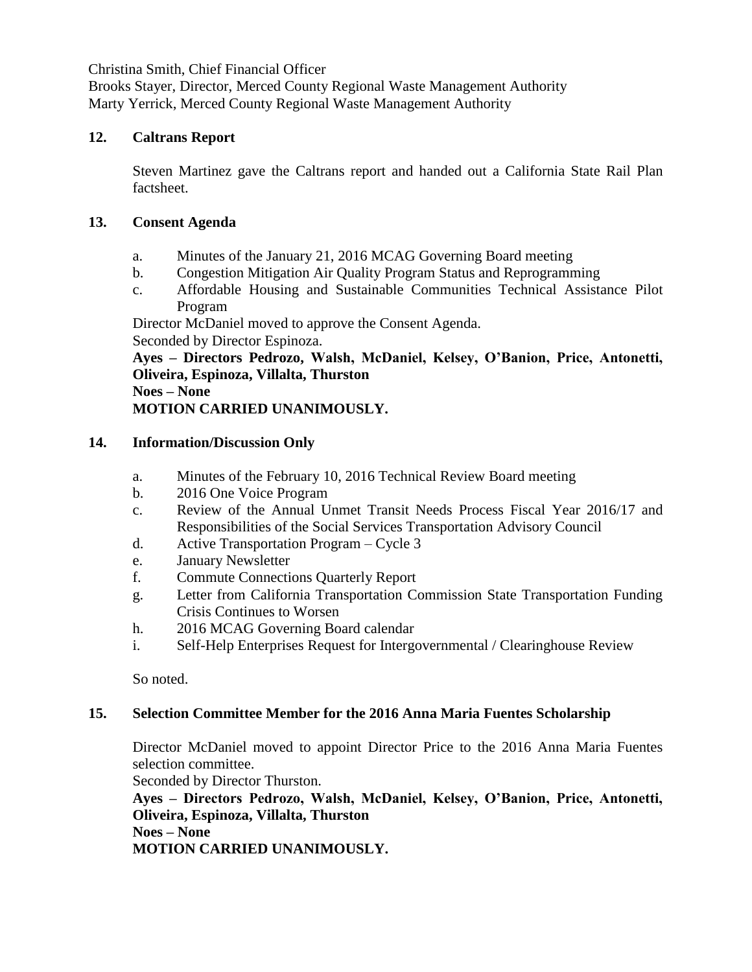Christina Smith, Chief Financial Officer

Brooks Stayer, Director, Merced County Regional Waste Management Authority Marty Yerrick, Merced County Regional Waste Management Authority

## **12. Caltrans Report**

Steven Martinez gave the Caltrans report and handed out a California State Rail Plan factsheet.

# **13. Consent Agenda**

- a. Minutes of the January 21, 2016 MCAG Governing Board meeting
- b. Congestion Mitigation Air Quality Program Status and Reprogramming
- c. Affordable Housing and Sustainable Communities Technical Assistance Pilot Program

Director McDaniel moved to approve the Consent Agenda. Seconded by Director Espinoza.

**Ayes – Directors Pedrozo, Walsh, McDaniel, Kelsey, O'Banion, Price, Antonetti, Oliveira, Espinoza, Villalta, Thurston Noes – None**

**MOTION CARRIED UNANIMOUSLY.**

# **14. Information/Discussion Only**

- a. Minutes of the February 10, 2016 Technical Review Board meeting
- b. 2016 One Voice Program
- c. Review of the Annual Unmet Transit Needs Process Fiscal Year 2016/17 and Responsibilities of the Social Services Transportation Advisory Council
- d. Active Transportation Program Cycle 3
- e. January Newsletter
- f. Commute Connections Quarterly Report
- g. Letter from California Transportation Commission State Transportation Funding Crisis Continues to Worsen
- h. 2016 MCAG Governing Board calendar
- i. Self-Help Enterprises Request for Intergovernmental / Clearinghouse Review

So noted.

# **15. Selection Committee Member for the 2016 Anna Maria Fuentes Scholarship**

Director McDaniel moved to appoint Director Price to the 2016 Anna Maria Fuentes selection committee.

Seconded by Director Thurston.

**Ayes – Directors Pedrozo, Walsh, McDaniel, Kelsey, O'Banion, Price, Antonetti, Oliveira, Espinoza, Villalta, Thurston Noes – None**

**MOTION CARRIED UNANIMOUSLY.**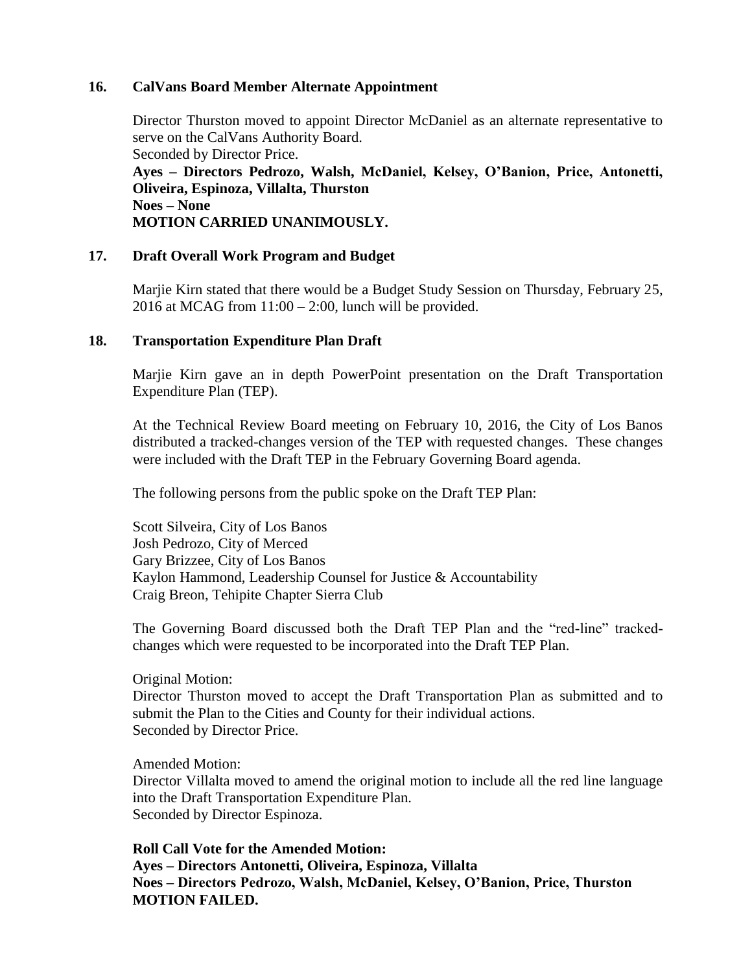### **16. CalVans Board Member Alternate Appointment**

Director Thurston moved to appoint Director McDaniel as an alternate representative to serve on the CalVans Authority Board. Seconded by Director Price. **Ayes – Directors Pedrozo, Walsh, McDaniel, Kelsey, O'Banion, Price, Antonetti, Oliveira, Espinoza, Villalta, Thurston Noes – None MOTION CARRIED UNANIMOUSLY.**

### **17. Draft Overall Work Program and Budget**

Marjie Kirn stated that there would be a Budget Study Session on Thursday, February 25, 2016 at MCAG from  $11:00 - 2:00$ , lunch will be provided.

### **18. Transportation Expenditure Plan Draft**

Marjie Kirn gave an in depth PowerPoint presentation on the Draft Transportation Expenditure Plan (TEP).

At the Technical Review Board meeting on February 10, 2016, the City of Los Banos distributed a tracked-changes version of the TEP with requested changes. These changes were included with the Draft TEP in the February Governing Board agenda.

The following persons from the public spoke on the Draft TEP Plan:

Scott Silveira, City of Los Banos Josh Pedrozo, City of Merced Gary Brizzee, City of Los Banos Kaylon Hammond, Leadership Counsel for Justice & Accountability Craig Breon, Tehipite Chapter Sierra Club

The Governing Board discussed both the Draft TEP Plan and the "red-line" trackedchanges which were requested to be incorporated into the Draft TEP Plan.

Original Motion:

Director Thurston moved to accept the Draft Transportation Plan as submitted and to submit the Plan to the Cities and County for their individual actions. Seconded by Director Price.

Amended Motion:

Director Villalta moved to amend the original motion to include all the red line language into the Draft Transportation Expenditure Plan. Seconded by Director Espinoza.

**Roll Call Vote for the Amended Motion: Ayes – Directors Antonetti, Oliveira, Espinoza, Villalta Noes – Directors Pedrozo, Walsh, McDaniel, Kelsey, O'Banion, Price, Thurston MOTION FAILED.**